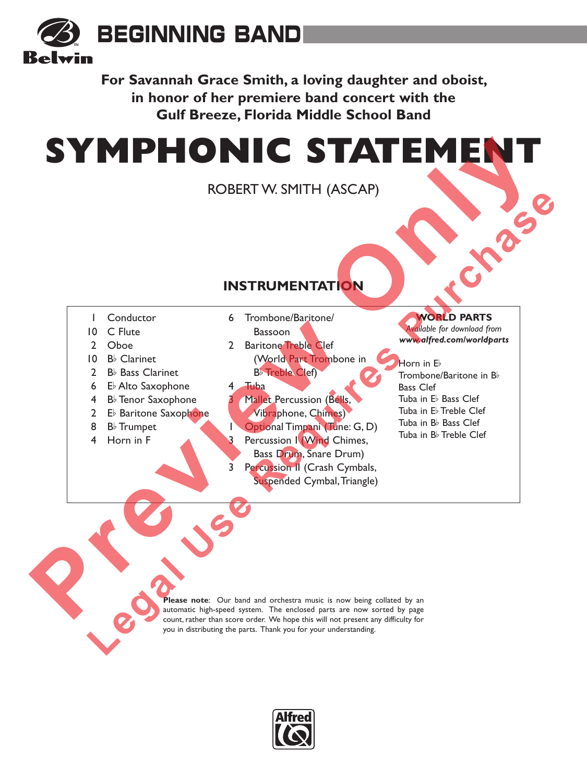# **BEGINNING BAND** Belwin **For Savannah Grace Smith, a loving daughter and oboist, in honor of her premiere band concert with the Gulf Breeze, Florida Middle School Band**

# **SYMPHONIC STATEMENT Preview Conducts**<br> **Preview Only (ASCAP)**<br> **Preview Only (ASCAP)**<br> **Preview Only (ASCAP)**<br>
<br> **Preview Only (ASCAP)**<br>
<br> **Preview Only (ASCAP)**<br>
<br> **Preview Only (ASCAP)**<br>
<br> **Preview Only (ASCAP)**<br>
<br> **Preview Only (ASCAP)**<br>

## ROBERT W. SMITH (ASCAP)

# **INSTRUMENTATION**

- 1 Conductor
- 10 C Flute
- 2 Oboe
- 10 B<sub>b</sub> Clarinet
- 2  $B$  Bass Clarinet
- 6 E Alto Saxophone
- 4 B<sub>b</sub> Tenor Saxophone
- 2 Eb Baritone Saxophone
- 8  $B\flat$  Trumpet
- 4 Horn in F
- 6 Trombone/Baritone/ Bassoon
- 2 Baritone Treble Clef (World Part Trombone in B<sup>B</sup> Treble Clef)

### 4 Tuba

- Mallet Percussion (Bells,
- Vibraphone, Chimes)
- 1 Optional Timpani (Tune: G, D)
	- Percussion I (Wind Chimes,
- Bass Drum, Snare Drum) 3 Percussion II (Crash Cymbals,
	- Suspended Cymbal, Triangle)

**WORLD PARTS** *Available for download from www.alfred.com/worldparts*

Horn in E Trombone/Baritone in B Bass Clef Tuba in  $E^{\flat}$  Bass Clef Tuba in  $E^{\flat}$  Treble Clef Tuba in  $B$  Bass Clef Tuba in B<sup>B</sup> Treble Clef

Please note: Our band and orchestra music is now being collated by an automatic high-speed system. The enclosed parts are now sorted by page count, rather than score order. We hope this will not present any difficulty for you in distributing the parts. Thank you for your understanding. **Legal Use Requires Purchase**

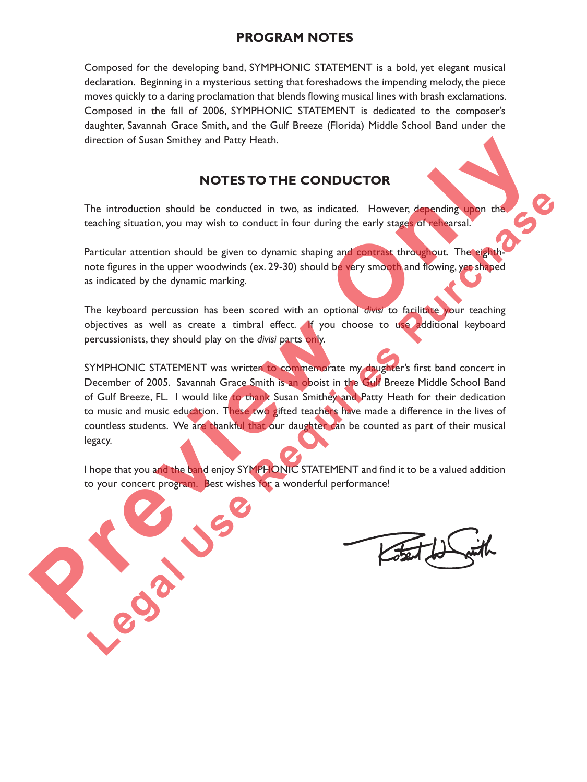### **PROGRAM NOTES**

Composed for the developing band, SYMPHONIC STATEMENT is a bold, yet elegant musical declaration. Beginning in a mysterious setting that foreshadows the impending melody, the piece moves quickly to a daring proclamation that blends flowing musical lines with brash exclamations. Composed in the fall of 2006, SYMPHONIC STATEMENT is dedicated to the composer's daughter, Savannah Grace Smith, and the Gulf Breeze (Florida) Middle School Band under the direction of Susan Smithey and Patty Heath.

### **NOTES TO THE CONDUCTOR**

The introduction should be conducted in two, as indicated. However, depending upon the teaching situation, you may wish to conduct in four during the early stages of rehearsal.

Particular attention should be given to dynamic shaping and contrast throughout. The eighthnote figures in the upper woodwinds (ex. 29-30) should be very smooth and flowing, yet shaped as indicated by the dynamic marking.

The keyboard percussion has been scored with an optional *divisi* to facilitate your teaching objectives as well as create a timbral effect. If you choose to use additional keyboard percussionists, they should play on the *divisi* parts only.

SYMPHONIC STATEMENT was written to commemorate my daughter's first band concert in December of 2005. Savannah Grace Smith is an oboist in the Gulf Breeze Middle School Band of Gulf Breeze, FL. I would like to thank Susan Smithey and Patty Heath for their dedication to music and music education. These two gifted teachers have made a difference in the lives of countless students. We are thankful that our daughter can be counted as part of their musical legacy. direction of Suran Smithley and Patry Heath.<br> **PROTES TO THE CONDUCTOR**<br>
The introduction should be conducted in two as indicated. However, depending when techniques in the upper woodwinds to cynamic thaping and expression The introduction should be conducted in two, as indicated. However, denoting when the case in the value of the conduction you may wish to conduct in four during the early stage, of reductions and a control of the stage of

I hope that you and the band enjoy SYMPHONIC STATEMENT and find it to be a valued addition to your concert program. Best wishes for a wonderful performance!

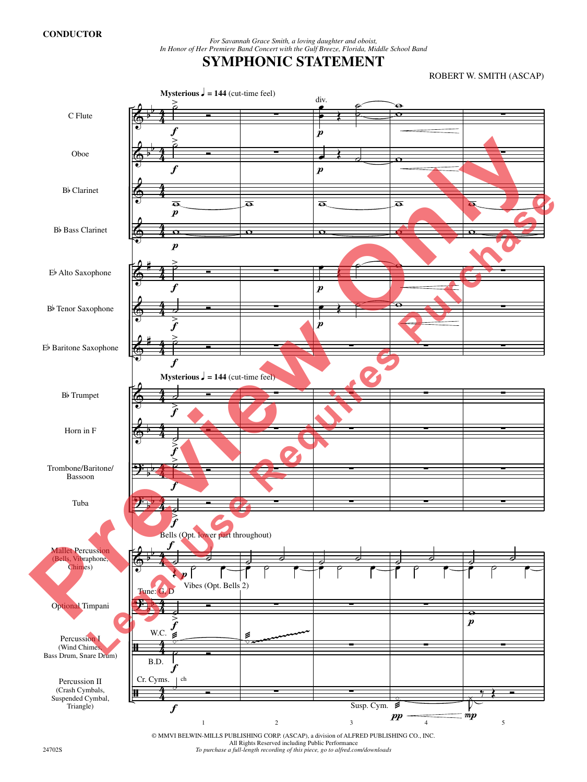For Savannah Grace Smith, a loving daughter and oboist, In Honor of Her Premiere Band Concert with the Gulf Breeze, Florida, Middle School Band

### **SYMPHONIC STATEMENT**

ROBERT W. SMITH (ASCAP)



© MMVI BELWIN-MILLS PUBLISHING CORP. (ASCAP), a division of ALFRED PUBLISHING CO., INC. All Rights Reserved including Public Performance To purchase a full-length recording of this piece, go to alfred.com/downloads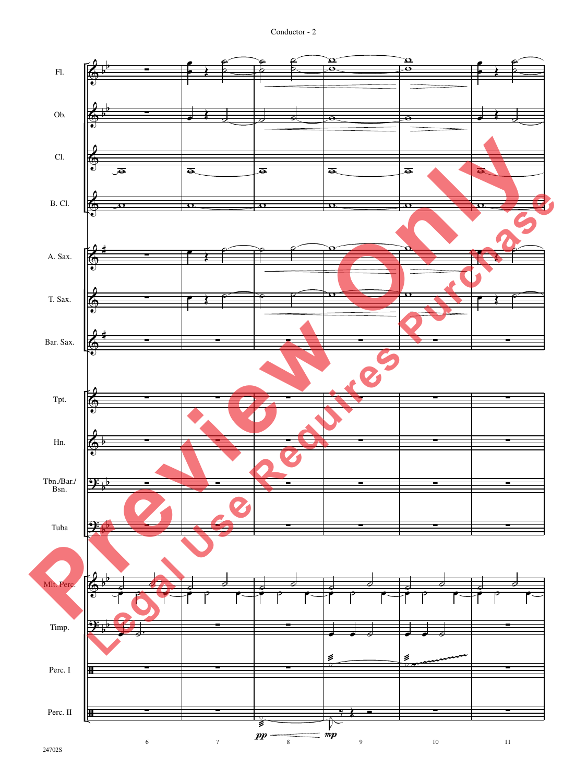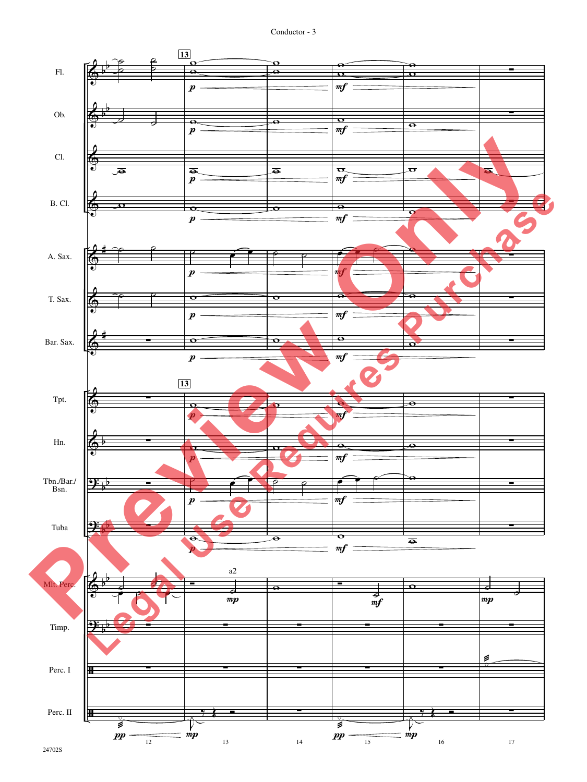

24702S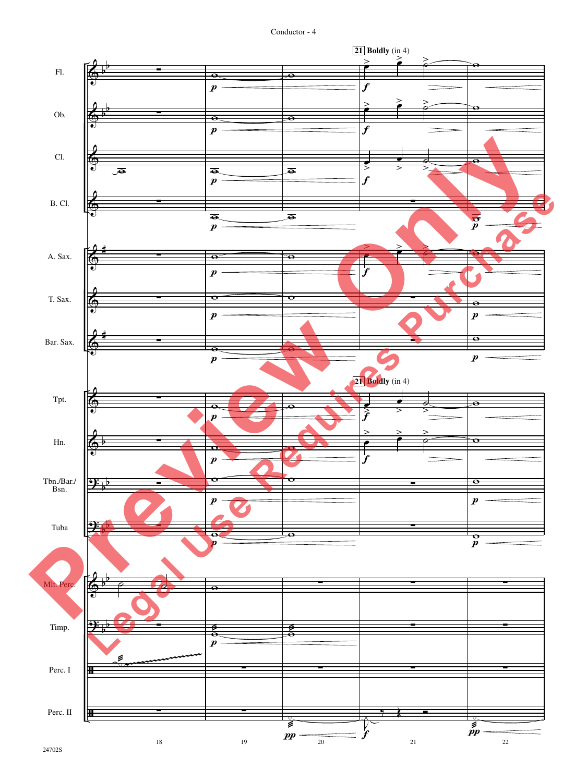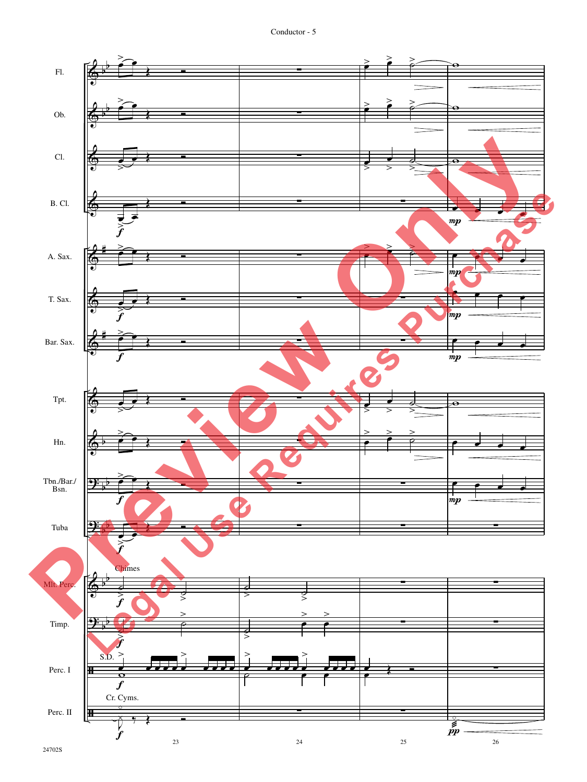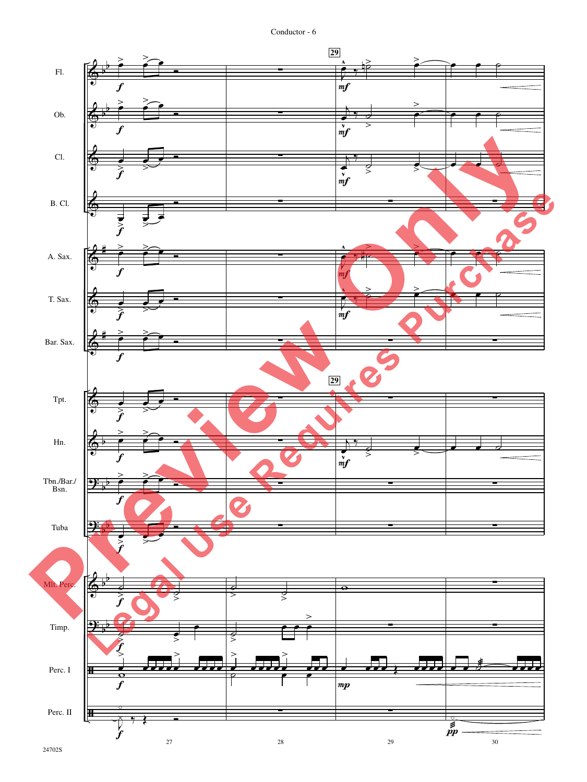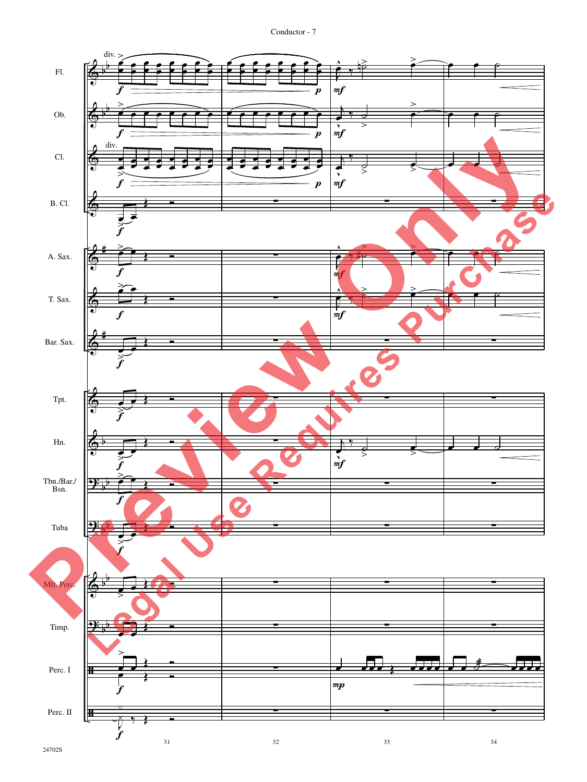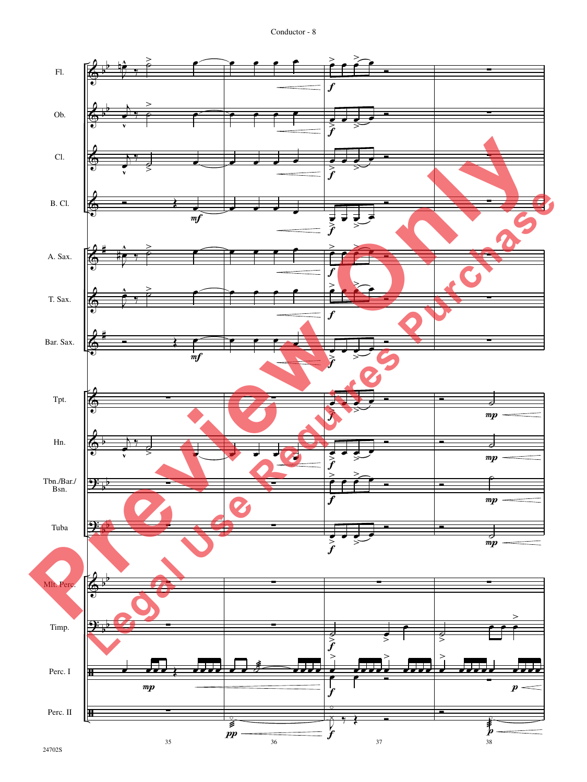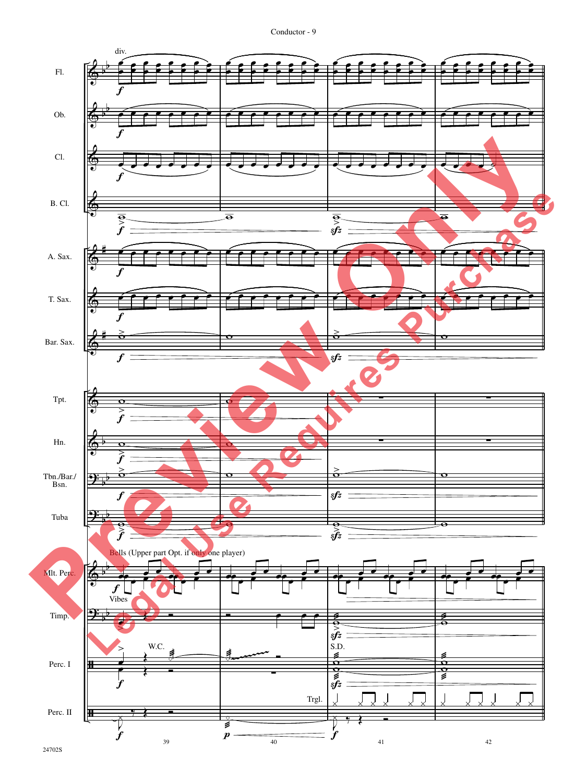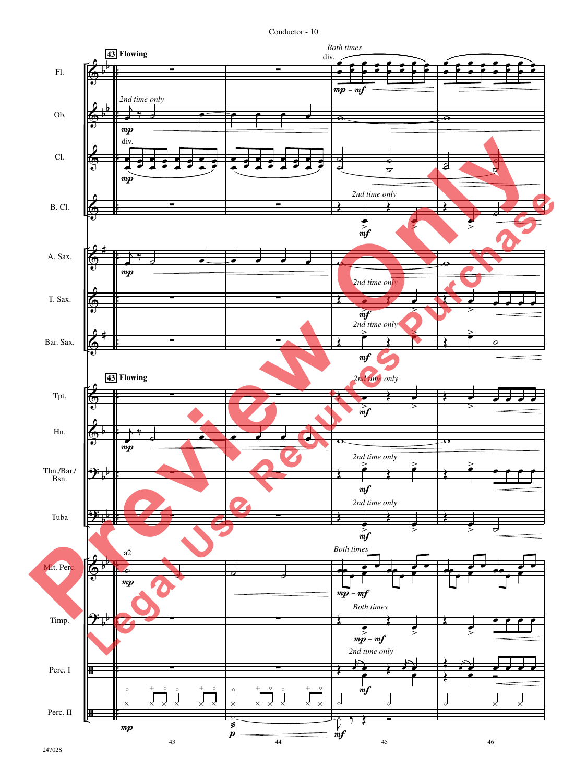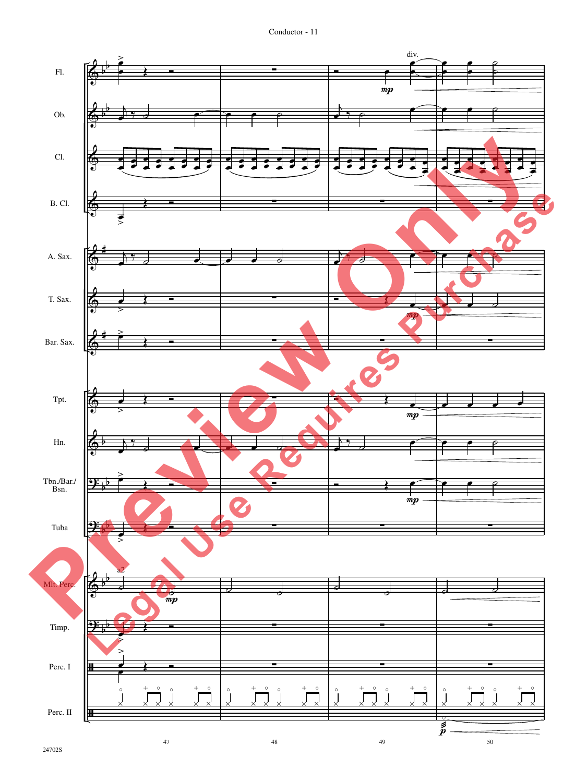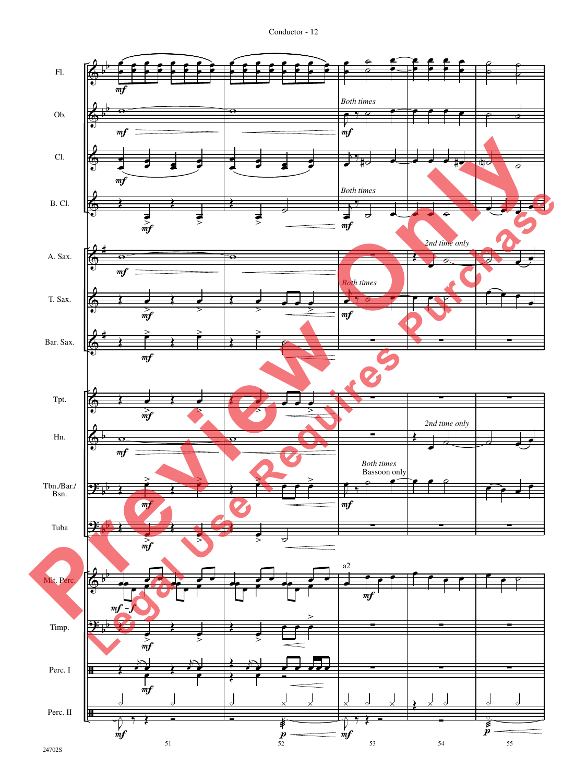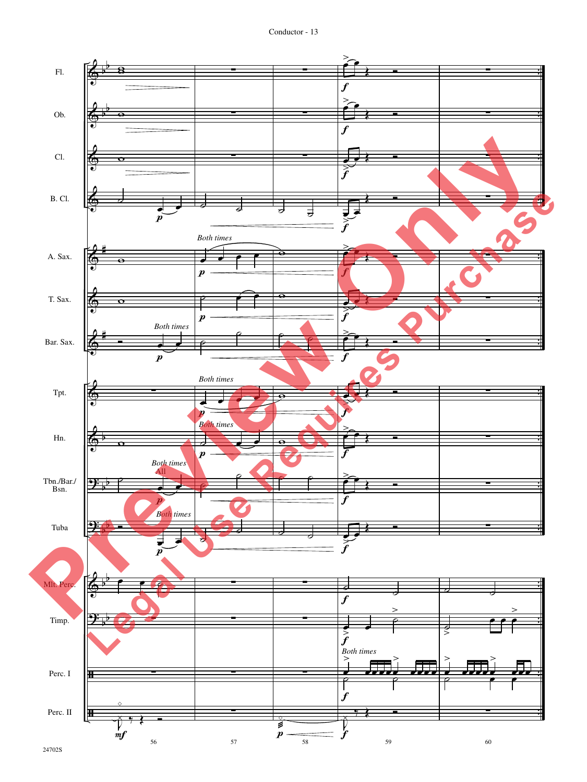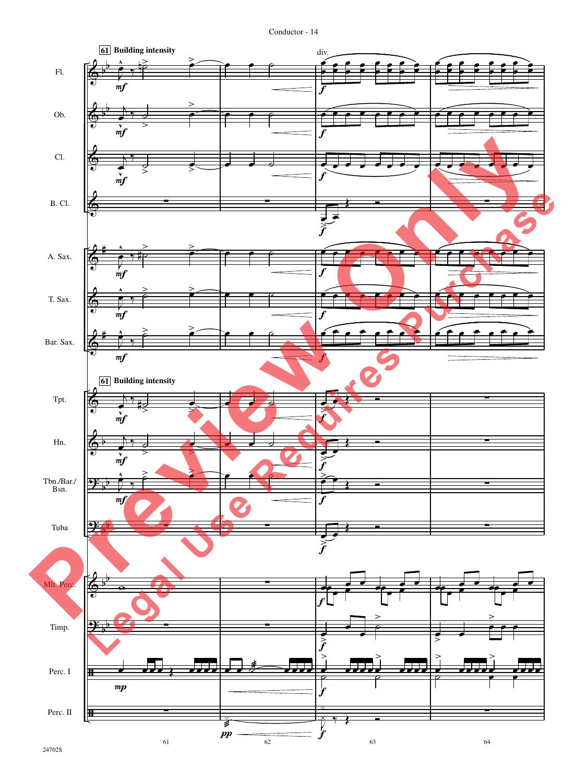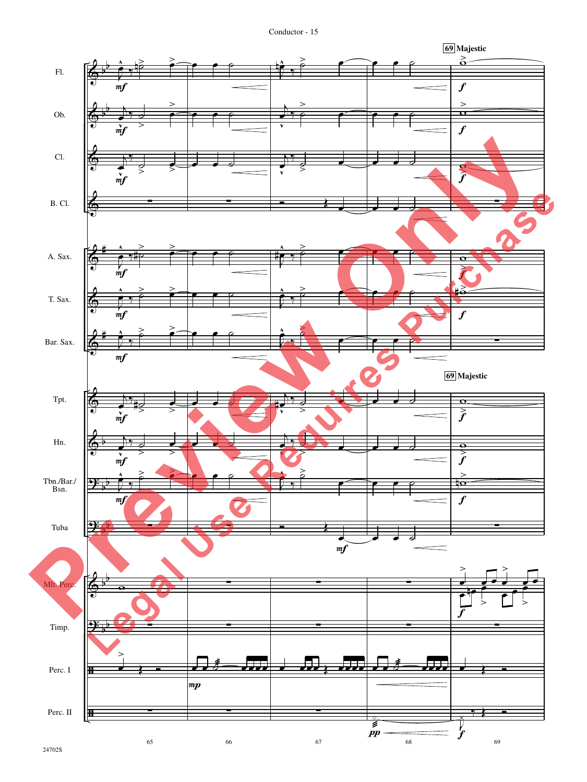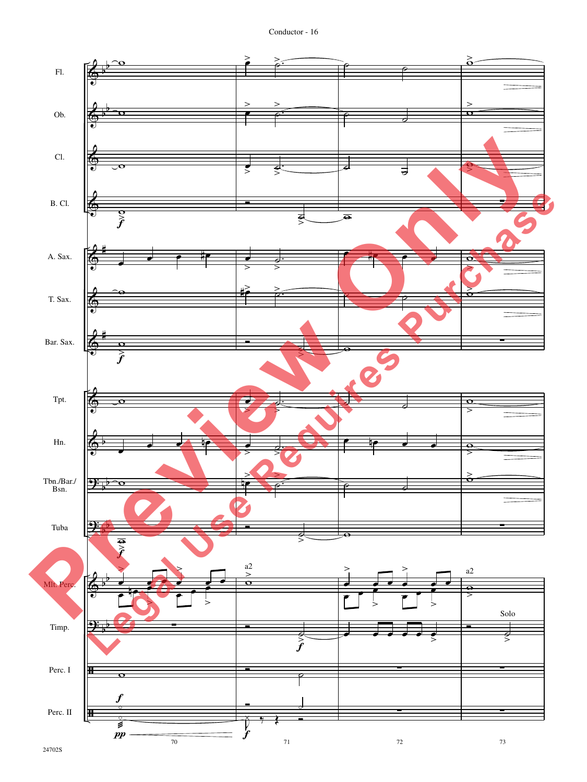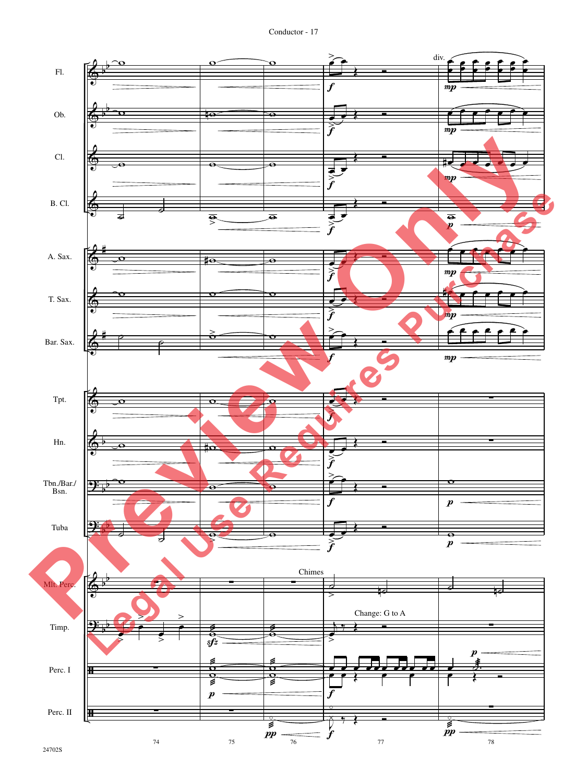